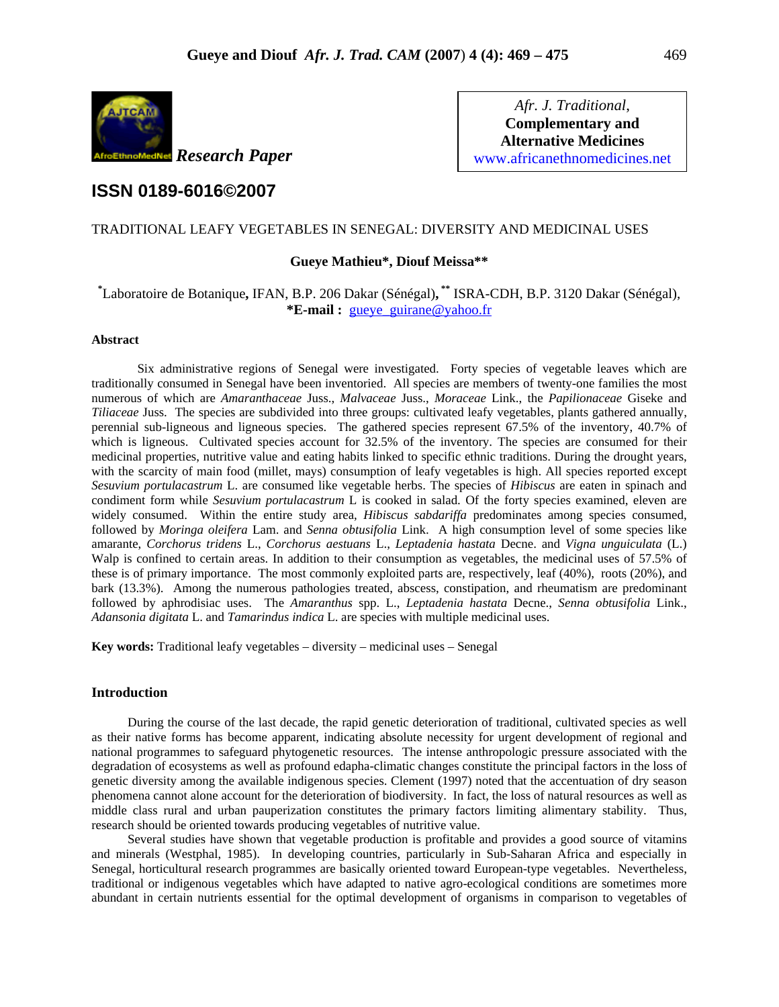

*Afr. J. Traditional*, **Complementary and Alternative Medicines**  www.africanethnomedicines.net

# **ISSN 0189-6016©2007**

### TRADITIONAL LEAFY VEGETABLES IN SENEGAL: DIVERSITY AND MEDICINAL USES

### **Gueye Mathieu\*, Diouf Meissa\*\***

## **\*** Laboratoire de Botanique**,** IFAN, B.P. 206 Dakar (Sénégal)**, \*\*** ISRA-CDH, B.P. 3120 Dakar (Sénégal), **\*E-mail :** gueye\_guirane@yahoo.fr

#### **Abstract**

Six administrative regions of Senegal were investigated. Forty species of vegetable leaves which are traditionally consumed in Senegal have been inventoried. All species are members of twenty-one families the most numerous of which are *Amaranthaceae* Juss., *Malvaceae* Juss., *Moraceae* Link., the *Papilionaceae* Giseke and *Tiliaceae* Juss. The species are subdivided into three groups: cultivated leafy vegetables, plants gathered annually, perennial sub-ligneous and ligneous species. The gathered species represent 67.5% of the inventory, 40.7% of which is ligneous. Cultivated species account for 32.5% of the inventory. The species are consumed for their medicinal properties, nutritive value and eating habits linked to specific ethnic traditions. During the drought years, with the scarcity of main food (millet, mays) consumption of leafy vegetables is high. All species reported except *Sesuvium portulacastrum* L. are consumed like vegetable herbs. The species of *Hibiscus* are eaten in spinach and condiment form while *Sesuvium portulacastrum* L is cooked in salad. Of the forty species examined, eleven are widely consumed. Within the entire study area, *Hibiscus sabdariffa* predominates among species consumed, followed by *Moringa oleifera* Lam. and *Senna obtusifolia* Link. A high consumption level of some species like amarante, *Corchorus tridens* L., *Corchorus aestuans* L., *Leptadenia hastata* Decne. and *Vigna unguiculata* (L.) Walp is confined to certain areas. In addition to their consumption as vegetables, the medicinal uses of 57.5% of these is of primary importance. The most commonly exploited parts are, respectively, leaf (40%), roots (20%), and bark (13.3%). Among the numerous pathologies treated, abscess, constipation, and rheumatism are predominant followed by aphrodisiac uses. The *Amaranthus* spp. L., *Leptadenia hastata* Decne., *Senna obtusifolia* Link., *Adansonia digitata* L. and *Tamarindus indica* L. are species with multiple medicinal uses.

**Key words:** Traditional leafy vegetables – diversity – medicinal uses – Senegal

### **Introduction**

During the course of the last decade, the rapid genetic deterioration of traditional, cultivated species as well as their native forms has become apparent, indicating absolute necessity for urgent development of regional and national programmes to safeguard phytogenetic resources. The intense anthropologic pressure associated with the degradation of ecosystems as well as profound edapha-climatic changes constitute the principal factors in the loss of genetic diversity among the available indigenous species. Clement (1997) noted that the accentuation of dry season phenomena cannot alone account for the deterioration of biodiversity. In fact, the loss of natural resources as well as middle class rural and urban pauperization constitutes the primary factors limiting alimentary stability. Thus, research should be oriented towards producing vegetables of nutritive value.

Several studies have shown that vegetable production is profitable and provides a good source of vitamins and minerals (Westphal, 1985). In developing countries, particularly in Sub-Saharan Africa and especially in Senegal, horticultural research programmes are basically oriented toward European-type vegetables. Nevertheless, traditional or indigenous vegetables which have adapted to native agro-ecological conditions are sometimes more abundant in certain nutrients essential for the optimal development of organisms in comparison to vegetables of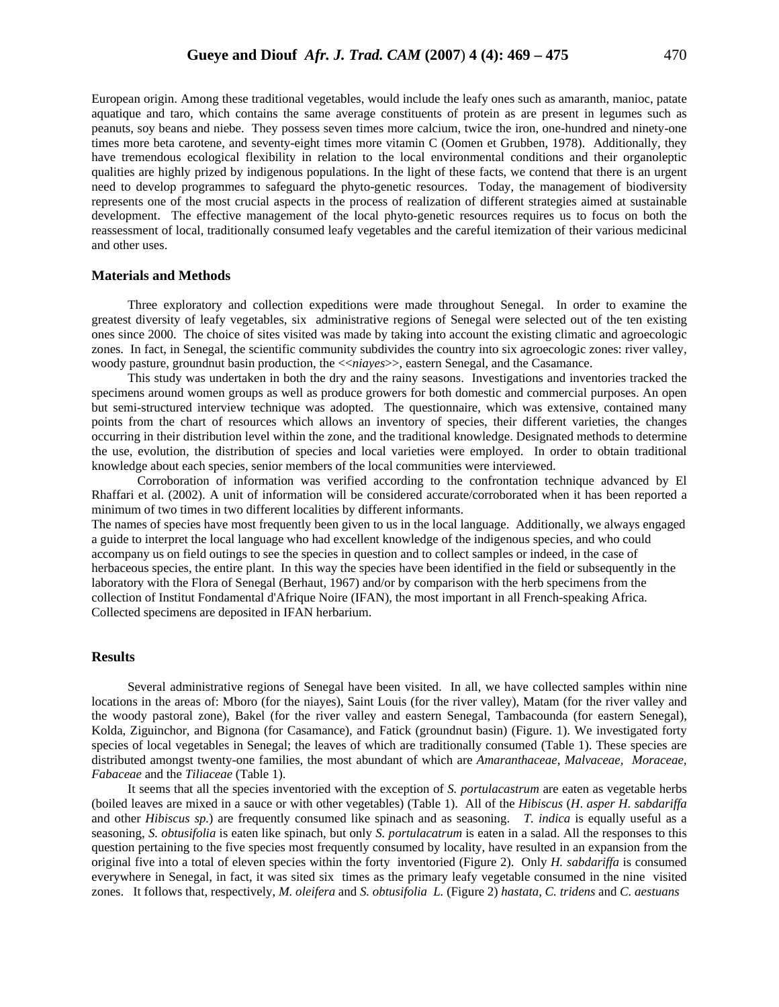European origin. Among these traditional vegetables, would include the leafy ones such as amaranth, manioc, patate aquatique and taro, which contains the same average constituents of protein as are present in legumes such as peanuts, soy beans and niebe. They possess seven times more calcium, twice the iron, one-hundred and ninety-one times more beta carotene, and seventy-eight times more vitamin C (Oomen et Grubben, 1978). Additionally, they have tremendous ecological flexibility in relation to the local environmental conditions and their organoleptic qualities are highly prized by indigenous populations. In the light of these facts, we contend that there is an urgent need to develop programmes to safeguard the phyto-genetic resources. Today, the management of biodiversity represents one of the most crucial aspects in the process of realization of different strategies aimed at sustainable development. The effective management of the local phyto-genetic resources requires us to focus on both the

#### **Materials and Methods**

and other uses.

Three exploratory and collection expeditions were made throughout Senegal. In order to examine the greatest diversity of leafy vegetables, six administrative regions of Senegal were selected out of the ten existing ones since 2000. The choice of sites visited was made by taking into account the existing climatic and agroecologic zones. In fact, in Senegal, the scientific community subdivides the country into six agroecologic zones: river valley, woody pasture, groundnut basin production, the <<*niayes*>>, eastern Senegal, and the Casamance.

reassessment of local, traditionally consumed leafy vegetables and the careful itemization of their various medicinal

This study was undertaken in both the dry and the rainy seasons. Investigations and inventories tracked the specimens around women groups as well as produce growers for both domestic and commercial purposes. An open but semi-structured interview technique was adopted. The questionnaire, which was extensive, contained many points from the chart of resources which allows an inventory of species, their different varieties, the changes occurring in their distribution level within the zone, and the traditional knowledge. Designated methods to determine the use, evolution, the distribution of species and local varieties were employed. In order to obtain traditional knowledge about each species, senior members of the local communities were interviewed.

 Corroboration of information was verified according to the confrontation technique advanced by El Rhaffari et al. (2002). A unit of information will be considered accurate/corroborated when it has been reported a minimum of two times in two different localities by different informants.

The names of species have most frequently been given to us in the local language. Additionally, we always engaged a guide to interpret the local language who had excellent knowledge of the indigenous species, and who could accompany us on field outings to see the species in question and to collect samples or indeed, in the case of herbaceous species, the entire plant. In this way the species have been identified in the field or subsequently in the laboratory with the Flora of Senegal (Berhaut, 1967) and/or by comparison with the herb specimens from the collection of Institut Fondamental d'Afrique Noire (IFAN), the most important in all French-speaking Africa. Collected specimens are deposited in IFAN herbarium.

#### **Results**

Several administrative regions of Senegal have been visited. In all, we have collected samples within nine locations in the areas of: Mboro (for the niayes), Saint Louis (for the river valley), Matam (for the river valley and the woody pastoral zone), Bakel (for the river valley and eastern Senegal, Tambacounda (for eastern Senegal), Kolda, Ziguinchor, and Bignona (for Casamance), and Fatick (groundnut basin) (Figure. 1). We investigated forty species of local vegetables in Senegal; the leaves of which are traditionally consumed (Table 1). These species are distributed amongst twenty-one families, the most abundant of which are *Amaranthaceae, Malvaceae, Moraceae, Fabaceae* and the *Tiliaceae* (Table 1).

It seems that all the species inventoried with the exception of *S. portulacastrum* are eaten as vegetable herbs (boiled leaves are mixed in a sauce or with other vegetables) (Table 1). All of the *Hibiscus* (*H*. *asper H. sabdariffa* and other *Hibiscus sp.*) are frequently consumed like spinach and as seasoning. *T. indica* is equally useful as a seasoning, *S. obtusifolia* is eaten like spinach, but only *S. portulacatrum* is eaten in a salad. All the responses to this question pertaining to the five species most frequently consumed by locality, have resulted in an expansion from the original five into a total of eleven species within the forty inventoried (Figure 2). Only *H. sabdariffa* is consumed everywhere in Senegal, in fact, it was sited six times as the primary leafy vegetable consumed in the nine visited zones. It follows that, respectively, *M. oleifera* and *S. obtusifolia L.* (Figure 2) *hastata, C. tridens* and *C. aestuans*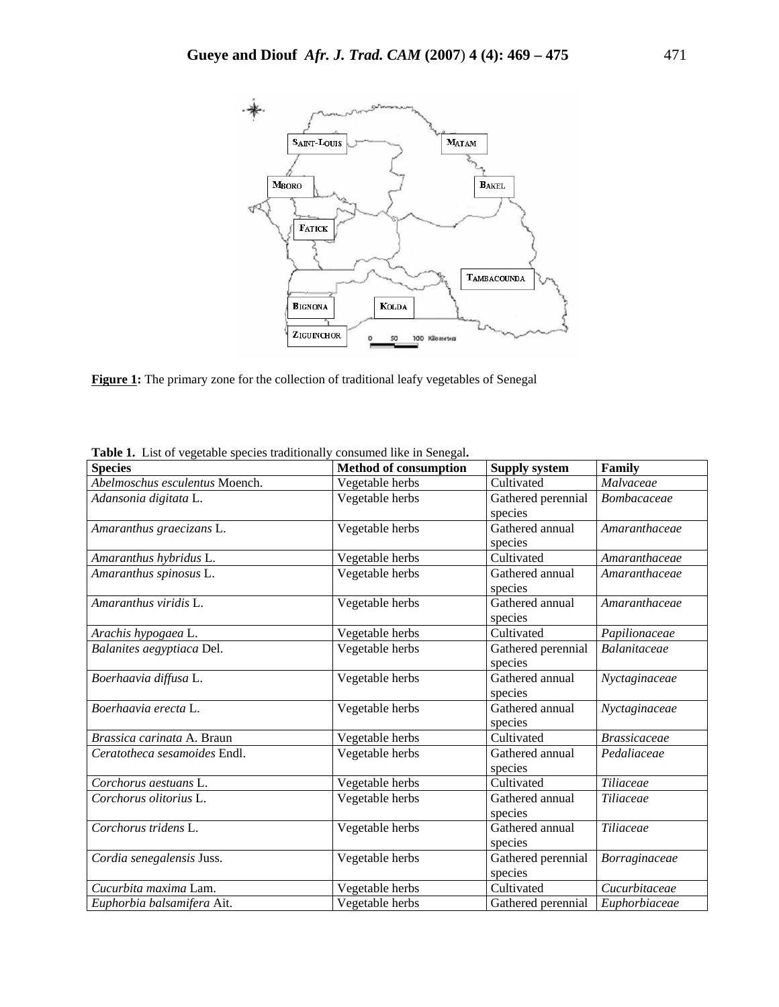

**Figure 1:** The primary zone for the collection of traditional leafy vegetables of Senegal

| <b>Species</b>                 | <b>Method of consumption</b> | <b>Supply system</b> | Family              |
|--------------------------------|------------------------------|----------------------|---------------------|
| Abelmoschus esculentus Moench. | Vegetable herbs              | Cultivated           | Malvaceae           |
| Adansonia digitata L.          | Vegetable herbs              | Gathered perennial   | Bombacaceae         |
|                                |                              | species              |                     |
| Amaranthus graecizans L.       | Vegetable herbs              | Gathered annual      | Amaranthaceae       |
|                                |                              | species              |                     |
| Amaranthus hybridus L.         | Vegetable herbs              | Cultivated           | Amaranthaceae       |
| Amaranthus spinosus L.         | Vegetable herbs              | Gathered annual      | Amaranthaceae       |
|                                |                              | species              |                     |
| Amaranthus viridis L.          | Vegetable herbs              | Gathered annual      | Amaranthaceae       |
|                                |                              | species              |                     |
| Arachis hypogaea L.            | Vegetable herbs              | Cultivated           | Papilionaceae       |
| Balanites aegyptiaca Del.      | Vegetable herbs              | Gathered perennial   | Balanitaceae        |
|                                |                              | species              |                     |
| Boerhaavia diffusa L.          | Vegetable herbs              | Gathered annual      | Nyctaginaceae       |
|                                |                              | species              |                     |
| Boerhaavia erecta L.           | Vegetable herbs              | Gathered annual      | Nyctaginaceae       |
|                                |                              | species              |                     |
| Brassica carinata A. Braun     | Vegetable herbs              | Cultivated           | <b>Brassicaceae</b> |
| Ceratotheca sesamoides Endl.   | Vegetable herbs              | Gathered annual      | Pedaliaceae         |
|                                |                              | species              |                     |
| Corchorus aestuans L.          | Vegetable herbs              | Cultivated           | Tiliaceae           |
| Corchorus olitorius L.         | Vegetable herbs              | Gathered annual      | Tiliaceae           |
|                                |                              | species              |                     |
| Corchorus tridens L.           | Vegetable herbs              | Gathered annual      | Tiliaceae           |
|                                |                              | species              |                     |
| Cordia senegalensis Juss.      | Vegetable herbs              | Gathered perennial   | Borraginaceae       |
|                                |                              | species              |                     |
| Cucurbita maxima Lam.          | Vegetable herbs              | Cultivated           | Cucurbitaceae       |
| Euphorbia balsamifera Ait.     | Vegetable herbs              | Gathered perennial   | Euphorbiaceae       |

**Table 1.** List of vegetable species traditionally consumed like in Senegal**.**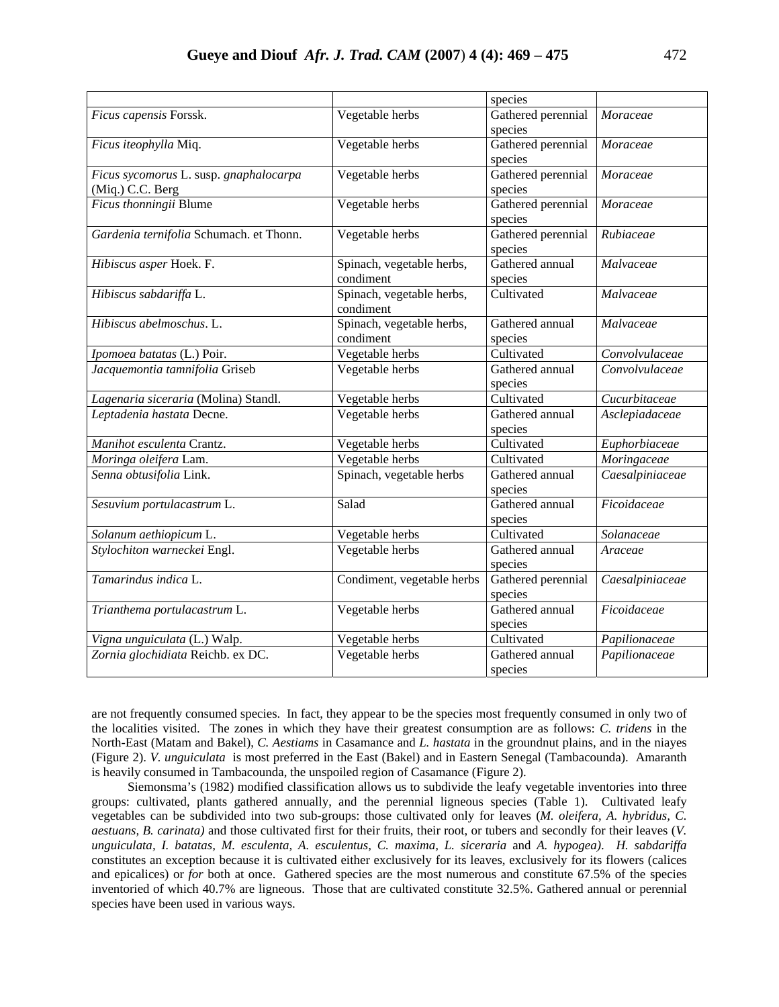|                                                            |                                        | species                       |                 |
|------------------------------------------------------------|----------------------------------------|-------------------------------|-----------------|
| Ficus capensis Forssk.                                     | Vegetable herbs                        | Gathered perennial<br>species | Moraceae        |
| Ficus iteophylla Miq.                                      | Vegetable herbs                        | Gathered perennial<br>species | Moraceae        |
| Ficus sycomorus L. susp. gnaphalocarpa<br>(Miq.) C.C. Berg | Vegetable herbs                        | Gathered perennial<br>species | Moraceae        |
| Ficus thonningii Blume                                     | Vegetable herbs                        | Gathered perennial<br>species | Moraceae        |
| Gardenia ternifolia Schumach. et Thonn.                    | Vegetable herbs                        | Gathered perennial<br>species | Rubiaceae       |
| Hibiscus asper Hoek. F.                                    | Spinach, vegetable herbs,<br>condiment | Gathered annual<br>species    | Malvaceae       |
| Hibiscus sabdariffa L.                                     | Spinach, vegetable herbs,<br>condiment | Cultivated                    | Malvaceae       |
| Hibiscus abelmoschus. L.                                   | Spinach, vegetable herbs,<br>condiment | Gathered annual<br>species    | Malvaceae       |
| Ipomoea batatas (L.) Poir.                                 | Vegetable herbs                        | Cultivated                    | Convolvulaceae  |
| Jacquemontia tamnifolia Griseb                             | Vegetable herbs                        | Gathered annual<br>species    | Convolvulaceae  |
| Lagenaria siceraria (Molina) Standl.                       | Vegetable herbs                        | Cultivated                    | Cucurbitaceae   |
| Leptadenia hastata Decne.                                  | Vegetable herbs                        | Gathered annual<br>species    | Asclepiadaceae  |
| Manihot esculenta Crantz.                                  | Vegetable herbs                        | Cultivated                    | Euphorbiaceae   |
| Moringa oleifera Lam.                                      | Vegetable herbs                        | Cultivated                    | Moringaceae     |
| Senna obtusifolia Link.                                    | Spinach, vegetable herbs               | Gathered annual<br>species    | Caesalpiniaceae |
| Sesuvium portulacastrum L.                                 | Salad                                  | Gathered annual<br>species    | Ficoidaceae     |
| Solanum aethiopicum L.                                     | Vegetable herbs                        | Cultivated                    | Solanaceae      |
| Stylochiton warneckei Engl.                                | Vegetable herbs                        | Gathered annual<br>species    | Araceae         |
| Tamarindus indica L.                                       | Condiment, vegetable herbs             | Gathered perennial<br>species | Caesalpiniaceae |
| Trianthema portulacastrum L.                               | Vegetable herbs                        | Gathered annual<br>species    | Ficoidaceae     |
| Vigna unguiculata (L.) Walp.                               | Vegetable herbs                        | Cultivated                    | Papilionaceae   |
| Zornia glochidiata Reichb. ex DC.                          | Vegetable herbs                        | Gathered annual<br>species    | Papilionaceae   |

are not frequently consumed species. In fact, they appear to be the species most frequently consumed in only two of the localities visited. The zones in which they have their greatest consumption are as follows: *C. tridens* in the North-East (Matam and Bakel), *C. Aestiams* in Casamance and *L. hastata* in the groundnut plains, and in the niayes (Figure 2). *V. unguiculata* is most preferred in the East (Bakel) and in Eastern Senegal (Tambacounda). Amaranth is heavily consumed in Tambacounda, the unspoiled region of Casamance (Figure 2).

Siemonsma's (1982) modified classification allows us to subdivide the leafy vegetable inventories into three groups: cultivated, plants gathered annually, and the perennial ligneous species (Table 1). Cultivated leafy vegetables can be subdivided into two sub-groups: those cultivated only for leaves (*M. oleifera, A. hybridus, C. aestuans, B. carinata)* and those cultivated first for their fruits, their root, or tubers and secondly for their leaves (*V. unguiculata, I. batatas, M. esculenta, A. esculentus, C. maxima, L. siceraria* and *A. hypogea)*. *H. sabdariffa* constitutes an exception because it is cultivated either exclusively for its leaves, exclusively for its flowers (calices and epicalices) or *for* both at once. Gathered species are the most numerous and constitute 67.5% of the species inventoried of which 40.7% are ligneous. Those that are cultivated constitute 32.5%. Gathered annual or perennial species have been used in various ways.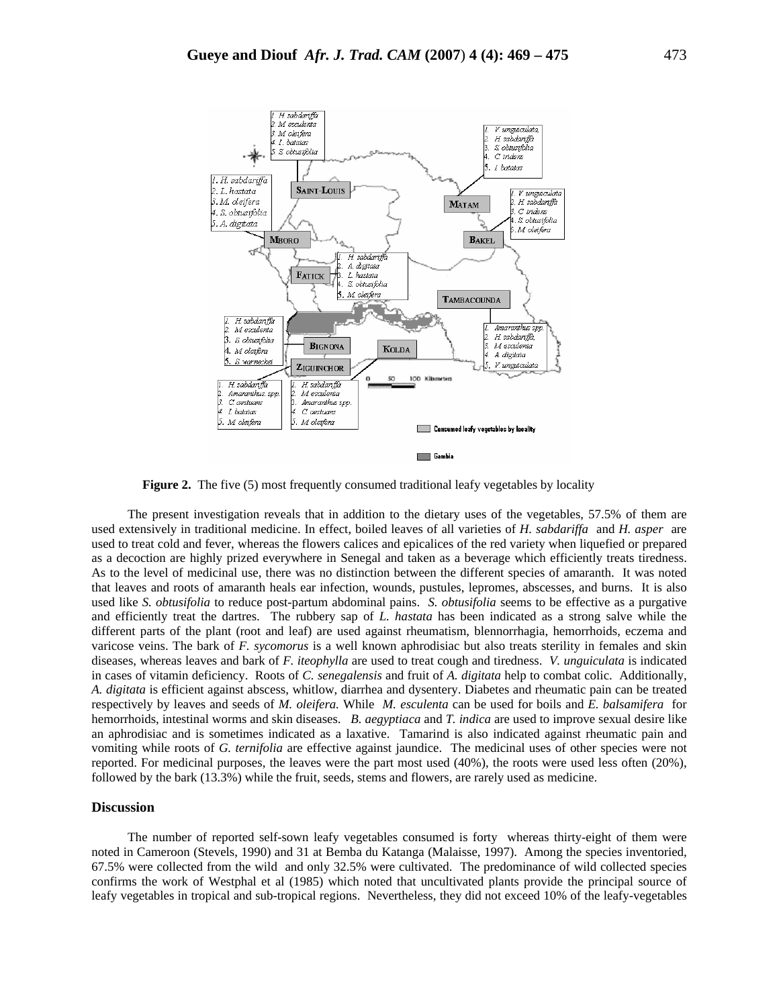

**Figure 2.** The five (5) most frequently consumed traditional leafy vegetables by locality

The present investigation reveals that in addition to the dietary uses of the vegetables, 57.5% of them are used extensively in traditional medicine. In effect, boiled leaves of all varieties of *H. sabdariffa* and *H. asper* are used to treat cold and fever, whereas the flowers calices and epicalices of the red variety when liquefied or prepared as a decoction are highly prized everywhere in Senegal and taken as a beverage which efficiently treats tiredness. As to the level of medicinal use, there was no distinction between the different species of amaranth. It was noted that leaves and roots of amaranth heals ear infection, wounds, pustules, lepromes, abscesses, and burns. It is also used like *S. obtusifolia* to reduce post-partum abdominal pains. *S. obtusifolia* seems to be effective as a purgative and efficiently treat the dartres. The rubbery sap of *L. hastata* has been indicated as a strong salve while the different parts of the plant (root and leaf) are used against rheumatism, blennorrhagia, hemorrhoids, eczema and varicose veins. The bark of *F. sycomorus* is a well known aphrodisiac but also treats sterility in females and skin diseases, whereas leaves and bark of *F. iteophylla* are used to treat cough and tiredness. *V. unguiculata* is indicated in cases of vitamin deficiency. Roots of *C. senegalensis* and fruit of *A. digitata* help to combat colic. Additionally, *A. digitata* is efficient against abscess, whitlow, diarrhea and dysentery. Diabetes and rheumatic pain can be treated respectively by leaves and seeds of *M. oleifera.* While *M. esculenta* can be used for boils and *E. balsamifera* for hemorrhoids, intestinal worms and skin diseases. *B. aegyptiaca* and *T. indica* are used to improve sexual desire like an aphrodisiac and is sometimes indicated as a laxative. Tamarind is also indicated against rheumatic pain and vomiting while roots of *G. ternifolia* are effective against jaundice. The medicinal uses of other species were not reported. For medicinal purposes, the leaves were the part most used (40%), the roots were used less often (20%), followed by the bark (13.3%) while the fruit, seeds, stems and flowers, are rarely used as medicine.

### **Discussion**

The number of reported self-sown leafy vegetables consumed is forty whereas thirty-eight of them were noted in Cameroon (Stevels, 1990) and 31 at Bemba du Katanga (Malaisse, 1997). Among the species inventoried, 67.5% were collected from the wild and only 32.5% were cultivated. The predominance of wild collected species confirms the work of Westphal et al (1985) which noted that uncultivated plants provide the principal source of leafy vegetables in tropical and sub-tropical regions. Nevertheless, they did not exceed 10% of the leafy-vegetables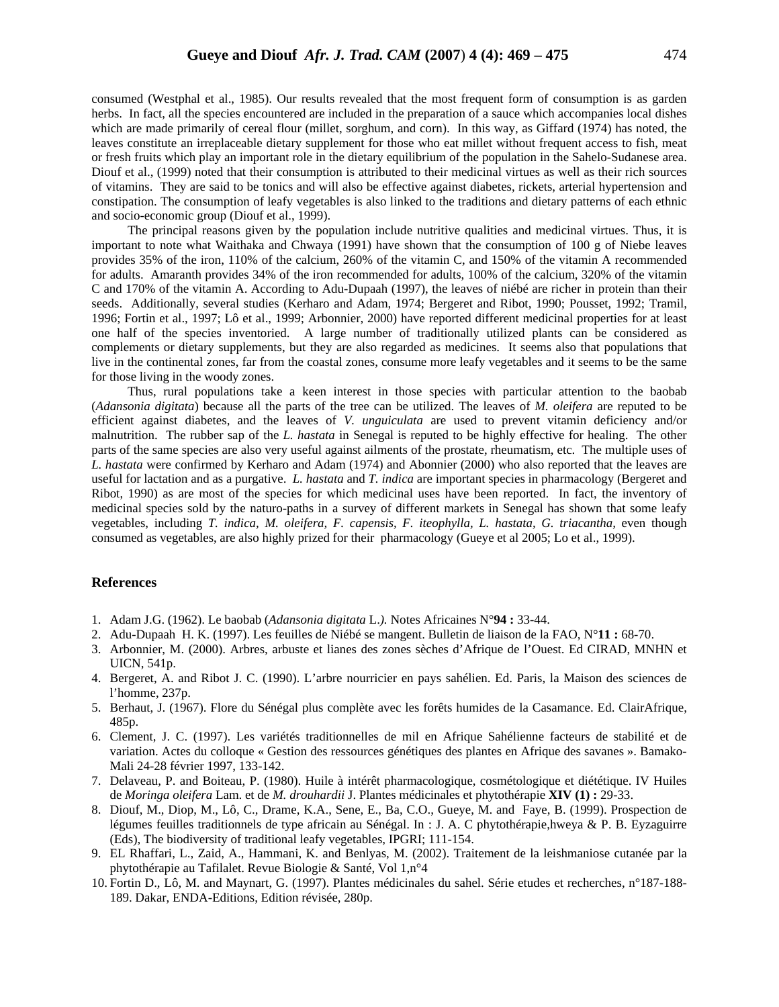consumed (Westphal et al., 1985). Our results revealed that the most frequent form of consumption is as garden herbs. In fact, all the species encountered are included in the preparation of a sauce which accompanies local dishes which are made primarily of cereal flour (millet, sorghum, and corn). In this way, as Giffard (1974) has noted, the leaves constitute an irreplaceable dietary supplement for those who eat millet without frequent access to fish, meat or fresh fruits which play an important role in the dietary equilibrium of the population in the Sahelo-Sudanese area. Diouf et al., (1999) noted that their consumption is attributed to their medicinal virtues as well as their rich sources of vitamins. They are said to be tonics and will also be effective against diabetes, rickets, arterial hypertension and constipation. The consumption of leafy vegetables is also linked to the traditions and dietary patterns of each ethnic and socio-economic group (Diouf et al., 1999).

The principal reasons given by the population include nutritive qualities and medicinal virtues. Thus, it is important to note what Waithaka and Chwaya (1991) have shown that the consumption of 100 g of Niebe leaves provides 35% of the iron, 110% of the calcium, 260% of the vitamin C, and 150% of the vitamin A recommended for adults. Amaranth provides 34% of the iron recommended for adults, 100% of the calcium, 320% of the vitamin C and 170% of the vitamin A. According to Adu-Dupaah (1997), the leaves of niébé are richer in protein than their seeds. Additionally, several studies (Kerharo and Adam, 1974; Bergeret and Ribot, 1990; Pousset, 1992; Tramil, 1996; Fortin et al., 1997; Lô et al., 1999; Arbonnier, 2000) have reported different medicinal properties for at least one half of the species inventoried. A large number of traditionally utilized plants can be considered as complements or dietary supplements, but they are also regarded as medicines. It seems also that populations that live in the continental zones, far from the coastal zones, consume more leafy vegetables and it seems to be the same for those living in the woody zones.

Thus, rural populations take a keen interest in those species with particular attention to the baobab (*Adansonia digitata*) because all the parts of the tree can be utilized. The leaves of *M. oleifera* are reputed to be efficient against diabetes, and the leaves of *V. unguiculata* are used to prevent vitamin deficiency and/or malnutrition. The rubber sap of the *L. hastata* in Senegal is reputed to be highly effective for healing. The other parts of the same species are also very useful against ailments of the prostate, rheumatism, etc. The multiple uses of *L. hastata* were confirmed by Kerharo and Adam (1974) and Abonnier (2000) who also reported that the leaves are useful for lactation and as a purgative. *L. hastata* and *T. indica* are important species in pharmacology (Bergeret and Ribot, 1990) as are most of the species for which medicinal uses have been reported. In fact, the inventory of medicinal species sold by the naturo-paths in a survey of different markets in Senegal has shown that some leafy vegetables, including *T. indica, M. oleifera, F. capensis, F. iteophylla, L. hastata, G. triacantha, even though* consumed as vegetables, are also highly prized for their pharmacology (Gueye et al 2005; Lo et al., 1999).

#### **References**

- 1. Adam J.G. (1962). Le baobab (*Adansonia digitata* L.*).* Notes Africaines N°**94 :** 33-44.
- 2. Adu-Dupaah H. K. (1997). Les feuilles de Niébé se mangent. Bulletin de liaison de la FAO, N°**11 :** 68-70.
- 3. Arbonnier, M. (2000). Arbres, arbuste et lianes des zones sèches d'Afrique de l'Ouest. Ed CIRAD, MNHN et UICN, 541p.
- 4. Bergeret, A. and Ribot J. C. (1990). L'arbre nourricier en pays sahélien. Ed. Paris, la Maison des sciences de l'homme, 237p.
- 5. Berhaut, J. (1967). Flore du Sénégal plus complète avec les forêts humides de la Casamance. Ed. ClairAfrique, 485p.
- 6. Clement, J. C. (1997). Les variétés traditionnelles de mil en Afrique Sahélienne facteurs de stabilité et de variation. Actes du colloque « Gestion des ressources génétiques des plantes en Afrique des savanes ». Bamako-Mali 24-28 février 1997, 133-142.
- 7. Delaveau, P. and Boiteau, P. (1980). Huile à intérêt pharmacologique, cosmétologique et diététique. IV Huiles de *Moringa oleifera* Lam. et de *M. drouhardii* J. Plantes médicinales et phytothérapie **XIV (1) :** 29-33.
- 8. Diouf, M., Diop, M., Lô, C., Drame, K.A., Sene, E., Ba, C.O., Gueye, M. and Faye, B. (1999). Prospection de légumes feuilles traditionnels de type africain au Sénégal. In : J. A. C phytothérapie,hweya & P. B. Eyzaguirre (Eds), The biodiversity of traditional leafy vegetables, IPGRI; 111-154.
- 9. EL Rhaffari, L., Zaid, A., Hammani, K. and Benlyas, M. (2002). Traitement de la leishmaniose cutanée par la phytothérapie au Tafilalet. Revue Biologie & Santé, Vol 1,n°4
- 10. Fortin D., Lô, M. and Maynart, G. (1997). Plantes médicinales du sahel. Série etudes et recherches, n°187-188- 189. Dakar, ENDA-Editions, Edition révisée, 280p.